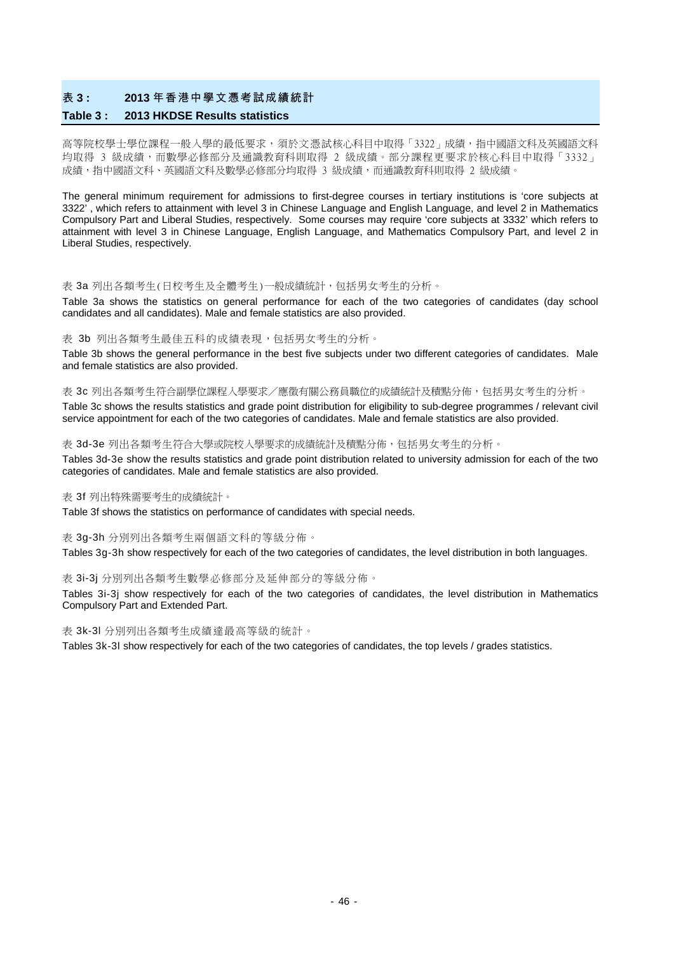# 表 **3 : 2013** 年香港中學文憑考試成績統計

#### **Table 3 : 2013 HKDSE Results statistics**

高等院校學士學位課程一般入學的最低要求,須於文憑試核心科目中取得「3322」成績,指中國語文科及英國語文科 均取得 3 級成績,而數學必修部分及通識教育科則取得 2 級成績。部分課程更要求於核心科目中取得「3332」 成績,指中國語文科、英國語文科及數學必修部分均取得 3 級成績,而通識教育科則取得 2 級成績。

The general minimum requirement for admissions to first-degree courses in tertiary institutions is 'core subjects at 3322' , which refers to attainment with level 3 in Chinese Language and English Language, and level 2 in Mathematics Compulsory Part and Liberal Studies, respectively. Some courses may require 'core subjects at 3332' which refers to attainment with level 3 in Chinese Language, English Language, and Mathematics Compulsory Part, and level 2 in Liberal Studies, respectively.

#### 表 3a 列出各類考生(日校考生及全體考生)一般成績統計,包括男女考生的分析。

Table 3a shows the statistics on general performance for each of the two categories of candidates (day school candidates and all candidates). Male and female statistics are also provided.

#### 表 3b 列出各類考生最佳五科的成績表現,包括男女考生的分析。

Table 3b shows the general performance in the best five subjects under two different categories of candidates. Male and female statistics are also provided.

表 3c 列出各類考生符合副學位課程入學要求/應徵有關公務員職位的成績統計及積點分佈,包括男女考生的分析。

Table 3c shows the results statistics and grade point distribution for eligibility to sub-degree programmes / relevant civil service appointment for each of the two categories of candidates. Male and female statistics are also provided.

#### 表 3d-3e 列出各類考生符合大學或院校入學要求的成績統計及積點分佈,包括男女考生的分析。

Tables 3d-3e show the results statistics and grade point distribution related to university admission for each of the two categories of candidates. Male and female statistics are also provided.

表 3f 列出特殊需要考生的成績統計。

Table 3f shows the statistics on performance of candidates with special needs.

表 3g-3h 分別列出各類考生兩個語文科的等級分佈。

Tables 3g-3h show respectively for each of the two categories of candidates, the level distribution in both languages.

表 3i-3j 分別列出各類考生數學必修部分及延伸部分的等級分佈。

Tables 3i-3j show respectively for each of the two categories of candidates, the level distribution in Mathematics Compulsory Part and Extended Part.

表 3k-3l 分別列出各類考生成績達最高等級的統計。

Tables 3k-3l show respectively for each of the two categories of candidates, the top levels / grades statistics.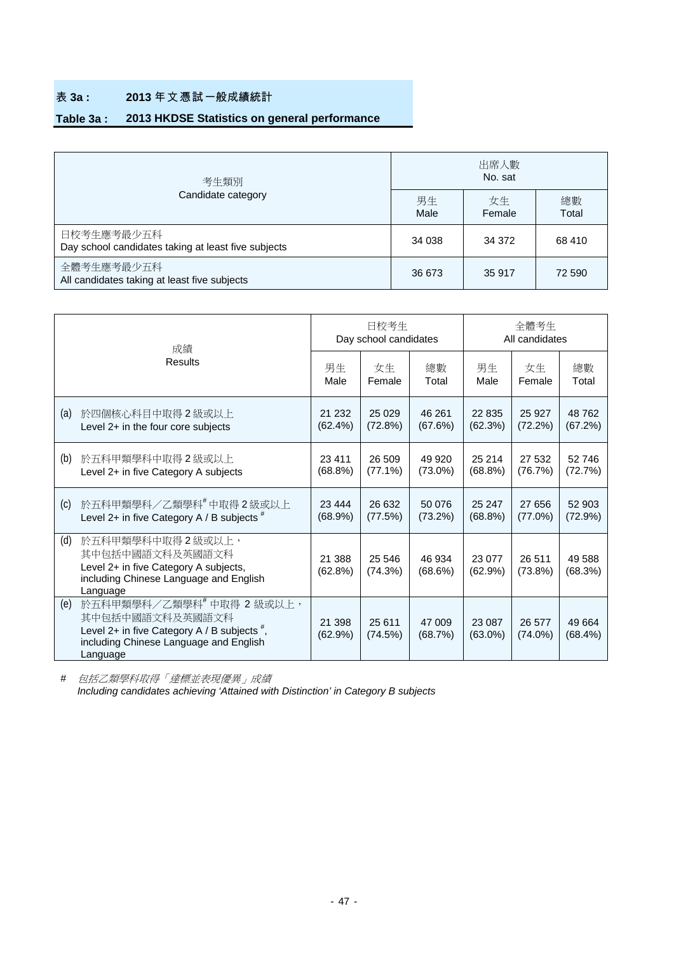### 表 **3a : 2013** 年文憑試一般成績統計

# **Table 3a : 2013 HKDSE Statistics on general performance**

| 考牛類別                                                              | 出席人數<br>No. sat |              |             |  |  |  |  |
|-------------------------------------------------------------------|-----------------|--------------|-------------|--|--|--|--|
| Candidate category                                                | 男生<br>Male      | 女生<br>Female | 總數<br>Total |  |  |  |  |
| 日校考生應考最少五科<br>Day school candidates taking at least five subjects | 34 038          | 34 372       | 68 410      |  |  |  |  |
| 全體考生應考最少五科<br>All candidates taking at least five subjects        | 36 673          | 35 917       | 72 590      |  |  |  |  |

|     | 成績                                                                                                                                                            |                       | 日校考生<br>Day school candidates |                       | 全體考生<br>All candidates |                      |                   |  |
|-----|---------------------------------------------------------------------------------------------------------------------------------------------------------------|-----------------------|-------------------------------|-----------------------|------------------------|----------------------|-------------------|--|
|     | <b>Results</b>                                                                                                                                                |                       | 女生<br>Female                  | 總數<br>Total           | 男生<br>Male             | 女生<br>Female         | 總數<br>Total       |  |
| (a) | 於四個核心科目中取得2級或以上<br>Level 2+ in the four core subjects                                                                                                         | 21 2 32<br>$(62.4\%)$ | 25 0 29<br>(72.8%)            | 46 261<br>(67.6%)     | 22 835<br>(62.3%)      | 25 9 27<br>(72.2%)   | 48 762<br>(67.2%) |  |
| (b) | 於五科甲類學科中取得2級或以上<br>Level 2+ in five Category A subjects                                                                                                       | 23 4 11<br>$(68.8\%)$ | 26 509<br>$(77.1\%)$          | 49 9 20<br>$(73.0\%)$ | 25 214<br>$(68.8\%)$   | 27 532<br>(76.7%)    | 52 746<br>(72.7%) |  |
| (c) | 於五科甲類學科/乙類學科#中取得2級或以上<br>Level 2+ in five Category A / B subjects $*$                                                                                         | 23 4 44<br>$(68.9\%)$ | 26 632<br>(77.5%)             | 50 076<br>(73.2%)     | 25 247<br>$(68.8\%)$   | 27 656<br>$(77.0\%)$ | 52 903<br>(72.9%) |  |
| (d) | 於五科甲類學科中取得2級或以上,<br>其中包括中國語文科及英國語文科<br>Level 2+ in five Category A subjects,<br>including Chinese Language and English<br>Language                            | 21 388<br>(62.8%)     | 25 546<br>(74.3%)             | 46 934<br>(68.6%)     | 23 077<br>(62.9%)      | 26 511<br>$(73.8\%)$ | 49 588<br>(68.3%) |  |
| (e) | 於五科甲類學科/乙類學科#中取得 2 級或以上,<br>其中包括中國語文科及英國語文科<br>Level 2+ in five Category A / B subjects $\frac{4}{7}$ ,<br>including Chinese Language and English<br>Language | 21 3 98<br>(62.9%)    | 25 611<br>(74.5%)             | 47 009<br>(68.7%)     | 23 087<br>$(63.0\%)$   | 26 577<br>$(74.0\%)$ | 49 664<br>(68.4%) |  |

*#* 包括乙類學科取得「達標並表現優異」成績  *Including candidates achieving 'Attained with Distinction' in Category B subjects*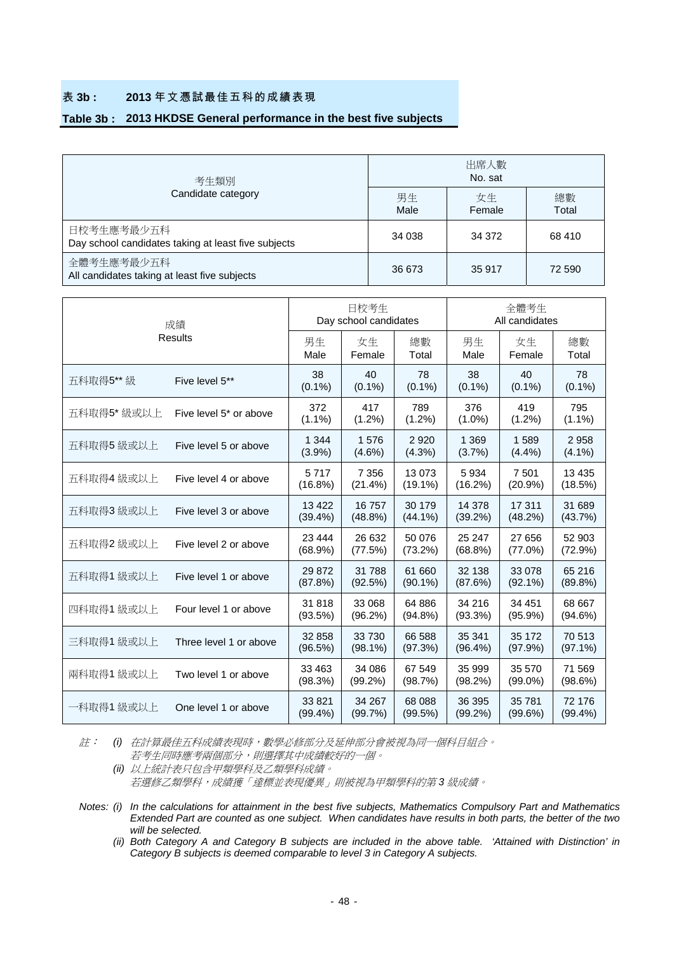### 表 **3b : 2013** 年文憑試最佳五科的成績表現

#### **Table 3b : 2013 HKDSE General performance in the best five subjects**

| 考生類別                                                              | 出席人數<br>No. sat |              |             |  |  |  |
|-------------------------------------------------------------------|-----------------|--------------|-------------|--|--|--|
| Candidate category                                                | 男生<br>Male      | 女生<br>Female | 總數<br>Total |  |  |  |
| 日校考生應考最少五科<br>Day school candidates taking at least five subjects | 34 038          | 34 372       | 68 410      |  |  |  |
| 全體考生應考最少五科<br>All candidates taking at least five subjects        | 36 673          | 35 917       | 72 590      |  |  |  |

|             | 成績                                 |                       | 日校考生<br>Day school candidates |                      | 全體考生<br>All candidates |                      |                      |  |
|-------------|------------------------------------|-----------------------|-------------------------------|----------------------|------------------------|----------------------|----------------------|--|
|             | <b>Results</b>                     | 男生<br>Male            | 女生<br>Female                  | 總數<br>Total          | 男生<br>Male             | 女生<br>Female         | 總數<br>Total          |  |
| 五科取得5** 級   | Five level 5**                     | 38<br>$(0.1\%)$       | 40<br>$(0.1\%)$               | 78<br>$(0.1\%)$      | 38<br>$(0.1\%)$        | 40<br>$(0.1\%)$      | 78<br>$(0.1\%)$      |  |
| 五科取得5* 級或以上 | Five level 5 <sup>*</sup> or above | 372<br>$(1.1\%)$      | 417<br>$(1.2\%)$              | 789<br>$(1.2\%)$     | 376<br>$(1.0\%)$       | 419<br>$(1.2\%)$     | 795<br>$(1.1\%)$     |  |
| 五科取得5 級或以上  | Five level 5 or above              | 1 3 4 4<br>$(3.9\%)$  | 1576<br>$(4.6\%)$             | 2 9 2 0<br>(4.3%)    | 1 3 6 9<br>(3.7%)      | 1589<br>(4.4%)       | 2958<br>$(4.1\%)$    |  |
| 五科取得4 級或以上  | Five level 4 or above              | 5717<br>(16.8%)       | 7 3 5 6<br>(21.4%)            | 13 073<br>$(19.1\%)$ | 5934<br>(16.2%)        | 7501<br>$(20.9\%)$   | 13 4 35<br>(18.5%)   |  |
| 五科取得3 級或以上  | Five level 3 or above              | 13 4 22<br>$(39.4\%)$ | 16757<br>$(48.8\%)$           | 30 179<br>$(44.1\%)$ | 14 378<br>$(39.2\%)$   | 17 311<br>(48.2%)    | 31 689<br>(43.7%)    |  |
| 五科取得2 級或以上  | Five level 2 or above              | 23 4 44<br>(68.9%)    | 26 632<br>(77.5%)             | 50 076<br>(73.2%)    | 25 247<br>(68.8%)      | 27 656<br>$(77.0\%)$ | 52 903<br>(72.9%)    |  |
| 五科取得1 級或以上  | Five level 1 or above              | 29 872<br>(87.8%)     | 31 788<br>(92.5%)             | 61 660<br>$(90.1\%)$ | 32 138<br>(87.6%)      | 33 078<br>$(92.1\%)$ | 65 216<br>$(89.8\%)$ |  |
| 四科取得1級或以上   | Four level 1 or above              | 31 818<br>(93.5%)     | 33 068<br>$(96.2\%)$          | 64 886<br>$(94.8\%)$ | 34 216<br>(93.3%)      | 34 451<br>$(95.9\%)$ | 68 667<br>(94.6%)    |  |
| 三科取得1 級或以上  | Three level 1 or above             | 32 858<br>(96.5%)     | 33 730<br>$(98.1\%)$          | 66 588<br>(97.3%)    | 35 341<br>$(96.4\%)$   | 35 172<br>(97.9%)    | 70 513<br>$(97.1\%)$ |  |
| 兩科取得1級或以上   | Two level 1 or above               | 33 463<br>(98.3%)     | 34 086<br>$(99.2\%)$          | 67 549<br>(98.7%)    | 35 999<br>(98.2%)      | 35 570<br>$(99.0\%)$ | 71 569<br>(98.6%)    |  |
| 一科取得1級或以上   | One level 1 or above               | 33 821<br>$(99.4\%)$  | 34 267<br>(99.7%)             | 68 088<br>(99.5%)    | 36 395<br>$(99.2\%)$   | 35 781<br>(99.6%)    | 72 176<br>$(99.4\%)$ |  |

註: *(i)* 在計算最佳五科成績表現時,數學必修部分及延伸部分會被視為同一個科目組合。 若考生同時應考兩個部分,則選擇其中成績較好的一個。

 *(ii)* 以上統計表只包含甲類學科及乙類學科成績。 若選修乙類學科,成績獲「達標並表現優異」則被視為甲類學科的第 *3* 級成績。

*Notes: (i) In the calculations for attainment in the best five subjects, Mathematics Compulsory Part and Mathematics Extended Part are counted as one subject. When candidates have results in both parts, the better of the two will be selected.* 

 *(ii) Both Category A and Category B subjects are included in the above table. 'Attained with Distinction' in Category B subjects is deemed comparable to level 3 in Category A subjects.*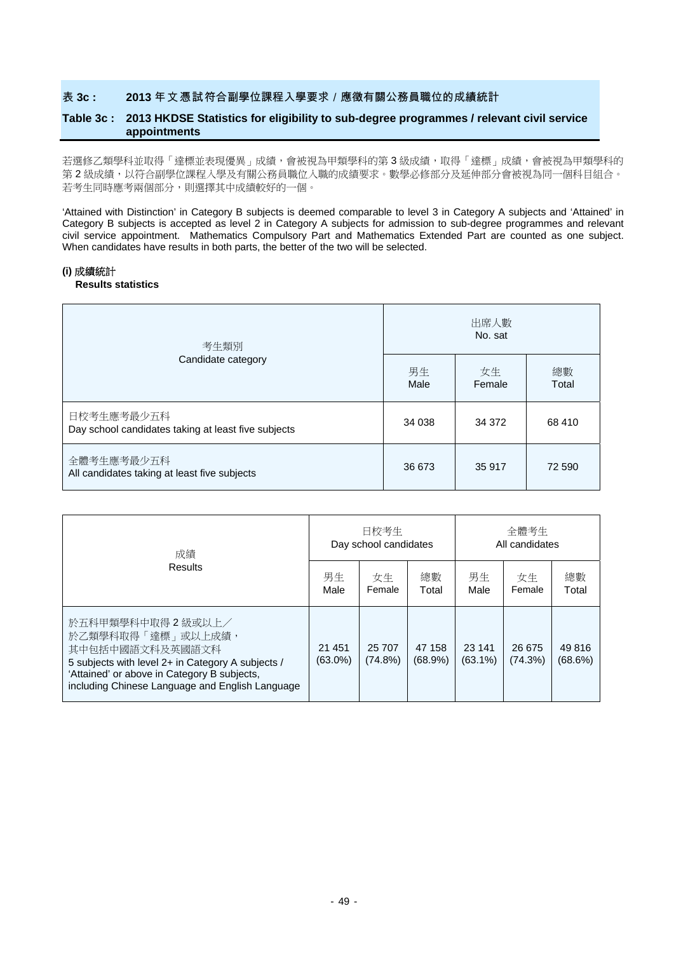#### 表 **3c : 2013** 年文憑試符合副學位課程入學要求/應徵有關公務員職位的成績統計

#### **Table 3c : 2013 HKDSE Statistics for eligibility to sub-degree programmes / relevant civil service appointments**

若選修乙類學科並取得「達標並表現優異」成績,會被視為甲類學科的第3級成績,取得「達標」成績,會被視為甲類學科的 第2級成績,以符合副學位課程入學及有關公務員職位入職的成績要求。數學必修部分及延伸部分會被視為同一個科目組合。 若考生同時應考兩個部分,則選擇其中成績較好的一個。

'Attained with Distinction' in Category B subjects is deemed comparable to level 3 in Category A subjects and 'Attained' in Category B subjects is accepted as level 2 in Category A subjects for admission to sub-degree programmes and relevant civil service appointment. Mathematics Compulsory Part and Mathematics Extended Part are counted as one subject. When candidates have results in both parts, the better of the two will be selected.

#### **(i)** 成績統計

#### **Results statistics**

| 考生類別                                                              | 出席人數<br>No. sat |              |             |  |  |  |
|-------------------------------------------------------------------|-----------------|--------------|-------------|--|--|--|
| Candidate category                                                | 男生<br>Male      | 女生<br>Female | 總數<br>Total |  |  |  |
| 日校考生應考最少五科<br>Day school candidates taking at least five subjects | 34 038          | 34 372       | 68 410      |  |  |  |
| 全體考生應考最少五科<br>All candidates taking at least five subjects        | 36 673          | 35 917       | 72 590      |  |  |  |

| 成績                                                                                                                                                                                                                |                      | 日校考生<br>Day school candidates |                   | 全體考生<br>All candidates |                   |                   |  |
|-------------------------------------------------------------------------------------------------------------------------------------------------------------------------------------------------------------------|----------------------|-------------------------------|-------------------|------------------------|-------------------|-------------------|--|
| <b>Results</b>                                                                                                                                                                                                    | 男生<br>Male           | 女生<br>Female                  | 總數<br>Total       | 男生<br>Male             | 女生<br>Female      | 總數<br>Total       |  |
| 於五科甲類學科中取得 2 級或以上/<br>於乙類學科取得「達標」或以上成績,<br>其中包括中國語文科及英國語文科<br>5 subjects with level 2+ in Category A subjects /<br>'Attained' or above in Category B subjects,<br>including Chinese Language and English Language | 21 451<br>$(63.0\%)$ | 25 707<br>$(74.8\%)$          | 47 158<br>(68.9%) | 23 141<br>$(63.1\%)$   | 26 675<br>(74.3%) | 49 816<br>(68.6%) |  |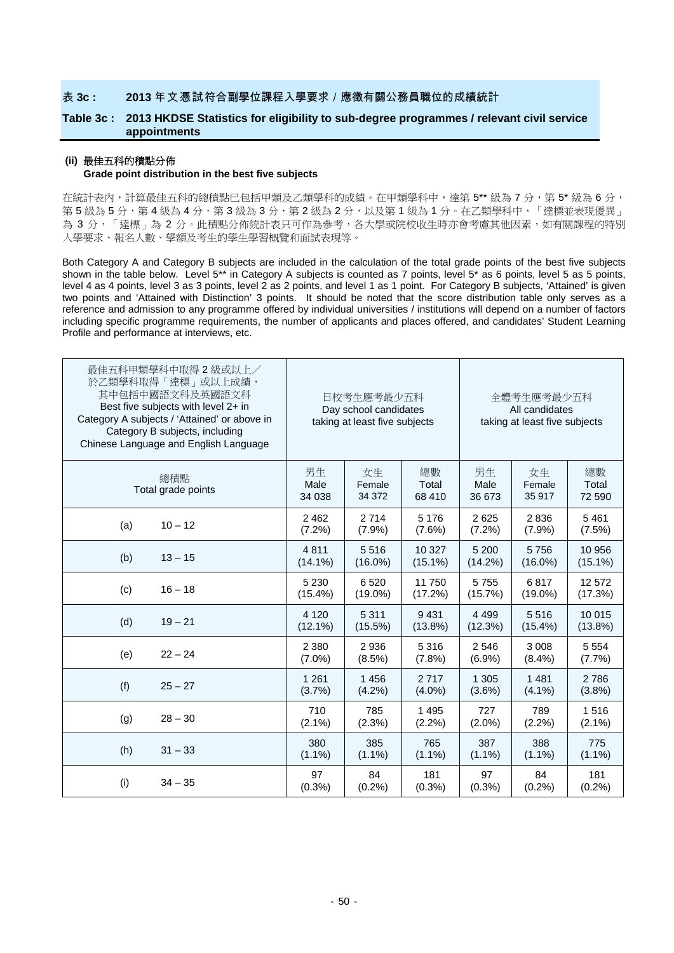#### 表 **3c : 2013** 年文憑試符合副學位課程入學要求/應徵有關公務員職位的成績統計

#### **Table 3c : 2013 HKDSE Statistics for eligibility to sub-degree programmes / relevant civil service appointments**

#### **(ii)** 最佳五科的積點分佈

#### **Grade point distribution in the best five subjects**

在統計表內,計算最佳五科的總積點已包括甲類及乙類學科的成績。在甲類學科中,達第 5\*\* 級為 7 分,第 5\* 級為 6 分, 第5級為5分,第4級為4分,第3級為3分,第2級為2分,以及第1級為1分。在乙類學科中,「達標並表現優異」 為 3 分, 「達標」為 2 分。此積點分佈統計表只可作為參考, 各大學或院校收生時亦會考慮其他因素, 如有關課程的特別 入學要求、報名人數、學額及考生的學生學習概覽和面試表現等。

Both Category A and Category B subjects are included in the calculation of the total grade points of the best five subjects shown in the table below. Level 5\*\* in Category A subjects is counted as 7 points, level 5\* as 6 points, level 5 as 5 points, level 4 as 4 points, level 3 as 3 points, level 2 as 2 points, and level 1 as 1 point. For Category B subjects, 'Attained' is given two points and 'Attained with Distinction' 3 points. It should be noted that the score distribution table only serves as a reference and admission to any programme offered by individual universities / institutions will depend on a number of factors including specific programme requirements, the number of applicants and places offered, and candidates' Student Learning Profile and performance at interviews, etc.

| 最佳五科甲類學科中取得 2 級或以上/<br>於乙類學科取得「達標」或以上成績,<br>其中包括中國語文科及英國語文科<br>Best five subjects with level 2+ in<br>Category A subjects / 'Attained' or above in<br>Category B subjects, including<br>Chinese Language and English Language |                      | 日校考生應考最少五科<br>Day school candidates<br>taking at least five subjects |                       | 全體考生應考最少五科<br>All candidates<br>taking at least five subjects |                        |                       |  |
|-------------------------------------------------------------------------------------------------------------------------------------------------------------------------------------------------------------------------------|----------------------|----------------------------------------------------------------------|-----------------------|---------------------------------------------------------------|------------------------|-----------------------|--|
| 總積點<br>Total grade points                                                                                                                                                                                                     | 男生<br>Male<br>34 038 | 女生<br>Female<br>34 372                                               | 總數<br>Total<br>68 410 | 男生<br>Male<br>36 673                                          | 女生<br>Female<br>35 917 | 總數<br>Total<br>72 590 |  |
| $10 - 12$                                                                                                                                                                                                                     | 2462                 | 2714                                                                 | 5 1 7 6               | 2625                                                          | 2836                   | 5461                  |  |
| (a)                                                                                                                                                                                                                           | (7.2%)               | (7.9%)                                                               | (7.6%)                | (7.2%)                                                        | (7.9%)                 | (7.5%)                |  |
| (b)                                                                                                                                                                                                                           | 4811                 | 5516                                                                 | 10 327                | 5 200                                                         | 5756                   | 10 956                |  |
| $13 - 15$                                                                                                                                                                                                                     | $(14.1\%)$           | $(16.0\%)$                                                           | $(15.1\%)$            | $(14.2\%)$                                                    | $(16.0\%)$             | $(15.1\%)$            |  |
| (c)                                                                                                                                                                                                                           | 5 2 3 0              | 6520                                                                 | 11 750                | 5755                                                          | 6817                   | 12 572                |  |
| $16 - 18$                                                                                                                                                                                                                     | $(15.4\%)$           | $(19.0\%)$                                                           | (17.2%)               | (15.7%)                                                       | $(19.0\%)$             | (17.3%)               |  |
| (d)                                                                                                                                                                                                                           | 4 1 2 0              | 5311                                                                 | 9431                  | 4 4 9 9                                                       | 5516                   | 10 015                |  |
| $19 - 21$                                                                                                                                                                                                                     | $(12.1\%)$           | $(15.5\%)$                                                           | $(13.8\%)$            | (12.3%)                                                       | $(15.4\%)$             | $(13.8\%)$            |  |
| $22 - 24$                                                                                                                                                                                                                     | 2 3 8 0              | 2936                                                                 | 5316                  | 2 5 4 6                                                       | 3 0 0 8                | 5 5 5 4               |  |
| (e)                                                                                                                                                                                                                           | $(7.0\%)$            | (8.5%)                                                               | (7.8%)                | (6.9%)                                                        | $(8.4\%)$              | (7.7%)                |  |
| (f)                                                                                                                                                                                                                           | 1 2 6 1              | 1456                                                                 | 2717                  | 1 3 0 5                                                       | 1481                   | 2786                  |  |
| $25 - 27$                                                                                                                                                                                                                     | (3.7%)               | (4.2%)                                                               | $(4.0\%)$             | $(3.6\%)$                                                     | $(4.1\%)$              | (3.8%)                |  |
| $28 - 30$                                                                                                                                                                                                                     | 710                  | 785                                                                  | 1495                  | 727                                                           | 789                    | 1516                  |  |
| (g)                                                                                                                                                                                                                           | $(2.1\%)$            | $(2.3\%)$                                                            | $(2.2\%)$             | $(2.0\%)$                                                     | $(2.2\%)$              | $(2.1\%)$             |  |
| (h)                                                                                                                                                                                                                           | 380                  | 385                                                                  | 765                   | 387                                                           | 388                    | 775                   |  |
| $31 - 33$                                                                                                                                                                                                                     | $(1.1\%)$            | $(1.1\%)$                                                            | $(1.1\%)$             | $(1.1\%)$                                                     | $(1.1\%)$              | $(1.1\%)$             |  |
| (i)                                                                                                                                                                                                                           | 97                   | 84                                                                   | 181                   | 97                                                            | 84                     | 181                   |  |
| $34 - 35$                                                                                                                                                                                                                     | (0.3% )              | $(0.2\%)$                                                            | $(0.3\%)$             | $(0.3\%)$                                                     | $(0.2\%)$              | (0.2%)                |  |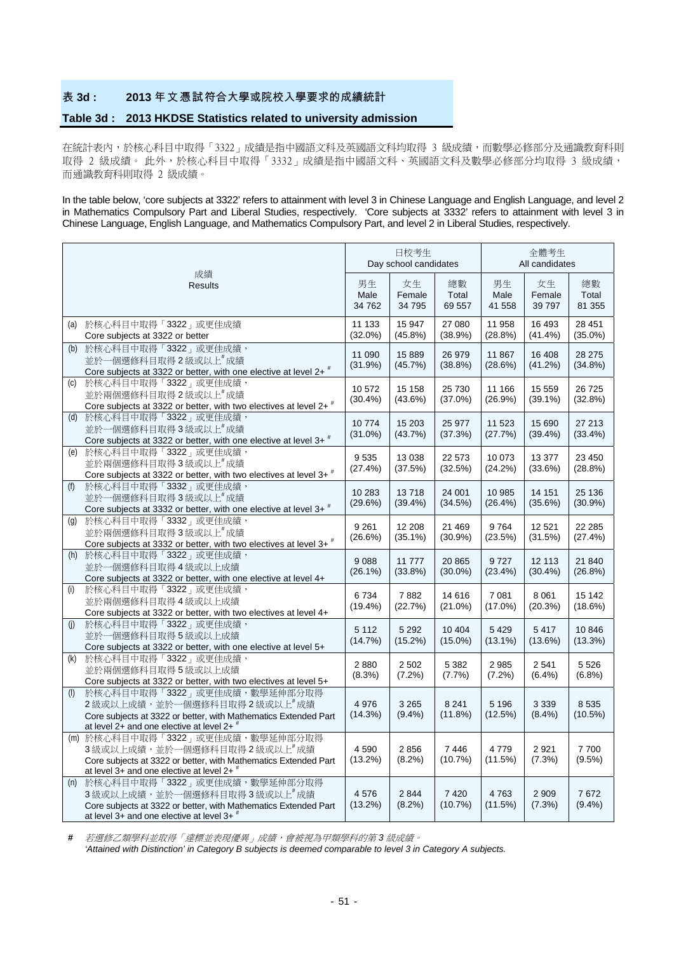#### 表 **3d : 2013** 年文憑試符合大學或院校入學要求的成績統計

### **Table 3d : 2013 HKDSE Statistics related to university admission**

在統計表內,於核心科目中取得「3322」成績是指中國語文科及英國語文科均取得 3 級成績,而數學必修部分及通識教育科則 取得 2 級成績。 此外,於核心科目中取得「3332」成績是指中國語文科、英國語文科及數學必修部分均取得 3 級成績, 而通識教育科則取得 2 級成績。

In the table below, 'core subjects at 3322' refers to attainment with level 3 in Chinese Language and English Language, and level 2 in Mathematics Compulsory Part and Liberal Studies, respectively. 'Core subjects at 3332' refers to attainment with level 3 in Chinese Language, English Language, and Mathematics Compulsory Part, and level 2 in Liberal Studies, respectively.

|                                                                                                                                                                                          |                      | 日校考生<br>Day school candidates |                       | 全體考生<br>All candidates |                          |                       |  |
|------------------------------------------------------------------------------------------------------------------------------------------------------------------------------------------|----------------------|-------------------------------|-----------------------|------------------------|--------------------------|-----------------------|--|
| 成績<br><b>Results</b>                                                                                                                                                                     | 男生<br>Male<br>34 762 | 女生<br>Female<br>34 795        | 總數<br>Total<br>69 557 | 男生<br>Male<br>41 558   | 女生<br>Female<br>39 7 9 7 | 總數<br>Total<br>81 355 |  |
| 於核心科目中取得「3322」或更佳成績<br>(a)<br>Core subjects at 3322 or better                                                                                                                            | 11 133<br>$(32.0\%)$ | 15 947<br>$(45.8\%)$          | 27 080<br>(38.9%)     | 11 958<br>(28.8%)      | 16 493<br>$(41.4\%)$     | 28 451<br>$(35.0\%)$  |  |
| 於核心科目中取得「3322」或更佳成績,<br>(b)<br>並於一個選修科目取得2級或以上#成績<br>Core subjects at 3322 or better, with one elective at level 2+ #                                                                    | 11 090<br>(31.9%)    | 15 8 89<br>(45.7%)            | 26 979<br>(38.8%)     | 11 867<br>(28.6%)      | 16 408<br>(41.2%)        | 28 275<br>$(34.8\%)$  |  |
| (c) 於核心科目中取得「3322」或更佳成績,<br>並於兩個選修科目取得2級或以上#成績<br>Core subjects at 3322 or better, with two electives at level 2+ #                                                                      | 10 572<br>$(30.4\%)$ | 15 158<br>(43.6%)             | 25 730<br>$(37.0\%)$  | 11 166<br>(26.9%)      | 15 559<br>$(39.1\%)$     | 26 7 25<br>(32.8%)    |  |
| (d) 於核心科目中取得「3322」或更佳成績,<br>並於一個選修科目取得3級或以上#成績<br>Core subjects at 3322 or better, with one elective at level 3+ #                                                                       | 10774<br>$(31.0\%)$  | 15 203<br>(43.7%)             | 25 977<br>(37.3%)     | 11 523<br>(27.7%)      | 15 690<br>$(39.4\%)$     | 27 213<br>(33.4%)     |  |
| (e) 於核心科目中取得「3322」或更佳成績,<br>並於兩個選修科目取得3級或以上"成績<br>Core subjects at 3322 or better, with two electives at level 3+ <sup>#</sup>                                                           | 9535<br>(27.4%)      | 13 0 38<br>(37.5%)            | 22 573<br>(32.5%)     | 10 073<br>(24.2%)      | 13 377<br>(33.6%)        | 23 450<br>(28.8%)     |  |
| 於核心科目中取得「3332」或更佳成績,<br>(f)<br>並於一個選修科目取得3級或以上#成績<br>Core subjects at 3332 or better, with one elective at level 3+ #                                                                    | 10 283<br>(29.6%)    | 13718<br>$(39.4\%)$           | 24 001<br>(34.5%)     | 10 985<br>(26.4%)      | 14 151<br>(35.6%)        | 25 136<br>$(30.9\%)$  |  |
| 於核心科目中取得「3332」或更佳成績,<br>(q)<br>並於兩個選修科目取得3級或以上#成績<br>Core subjects at 3332 or better, with two electives at level 3+ #                                                                   | 9 2 61<br>(26.6%)    | 12 208<br>$(35.1\%)$          | 21 4 69<br>$(30.9\%)$ | 9764<br>(23.5%)        | 12 5 21<br>(31.5%)       | 22 28 5<br>(27.4%)    |  |
| (h) 於核心科目中取得「3322」或更佳成績,<br>並於一個選修科目取得4級或以上成績<br>Core subjects at 3322 or better, with one elective at level 4+                                                                          | 9088<br>$(26.1\%)$   | 11777<br>$(33.8\%)$           | 20 865<br>$(30.0\%)$  | 9727<br>$(23.4\%)$     | 12 113<br>$(30.4\%)$     | 21 840<br>(26.8%)     |  |
| 於核心科目中取得「3322」或更佳成績,<br>(i)<br>並於兩個選修科目取得4級或以上成績<br>Core subjects at 3322 or better, with two electives at level 4+                                                                      | 6734<br>$(19.4\%)$   | 7882<br>(22.7%)               | 14 616<br>$(21.0\%)$  | 7 0 8 1<br>$(17.0\%)$  | 8 0 61<br>(20.3%)        | 15 142<br>(18.6%)     |  |
| 於核心科目中取得「3322」或更佳成績,<br>(i)<br>並於一個選修科目取得5級或以上成績<br>Core subjects at 3322 or better, with one elective at level 5+                                                                       | 5 1 1 2<br>(14.7%)   | 5 2 9 2<br>(15.2%)            | 10 404<br>$(15.0\%)$  | 5 4 2 9<br>$(13.1\%)$  | 5417<br>(13.6%)          | 10 846<br>$(13.3\%)$  |  |
| 於核心科目中取得「3322」或更佳成績,<br>(k)<br>並於兩個選修科目取得5級或以上成績<br>Core subjects at 3322 or better, with two electives at level 5+                                                                      | 2880<br>(8.3%)       | 2 5 0 2<br>(7.2%)             | 5 3 8 2<br>(7.7%)     | 2985<br>$(7.2\%)$      | 2541<br>$(6.4\%)$        | 5 5 2 6<br>$(6.8\%)$  |  |
| 於核心科目中取得「3322」或更佳成績,數學延伸部分取得<br>(1)<br>2級或以上成績,並於一個選修科目取得2級或以上#成績<br>Core subjects at 3322 or better, with Mathematics Extended Part<br>at level $2+$ and one elective at level $2+$ $*$ | 4 9 7 6<br>(14.3%)   | 3 2 6 5<br>$(9.4\%)$          | 8 2 4 1<br>$(11.8\%)$ | 5 1 9 6<br>(12.5%)     | 3 3 3 9<br>$(8.4\%)$     | 8 5 3 5<br>(10.5%)    |  |
| (m) 於核心科目中取得「3322」或更佳成績, 數學延伸部分取得<br>3級或以上成績,並於一個選修科目取得2級或以上#成績<br>Core subjects at 3322 or better, with Mathematics Extended Part<br>at level $3+$ and one elective at level $2+$ #     | 4 5 9 0<br>(13.2%)   | 2856<br>(8.2%)                | 7446<br>(10.7%)       | 4 7 7 9<br>(11.5%)     | 2921<br>(7.3%)           | 7700<br>(9.5%)        |  |
| 於核心科目中取得「3322」或更佳成績,數學延伸部分取得<br>(n)<br>3級或以上成績,並於一個選修科目取得3級或以上#成績<br>Core subjects at 3322 or better, with Mathematics Extended Part<br>at level 3+ and one elective at level 3+ $"$     | 4576<br>$(13.2\%)$   | 2844<br>$(8.2\%)$             | 7420<br>(10.7%)       | 4763<br>(11.5%)        | 2 9 0 9<br>(7.3%)        | 7672<br>$(9.4\%)$     |  |

*#* 若選修乙類學科並取得「達標並表現優異」成績,會被視為甲類學科的第 *3* 級成績。 *'Attained with Distinction' in Category B subjects is deemed comparable to level 3 in Category A subjects.*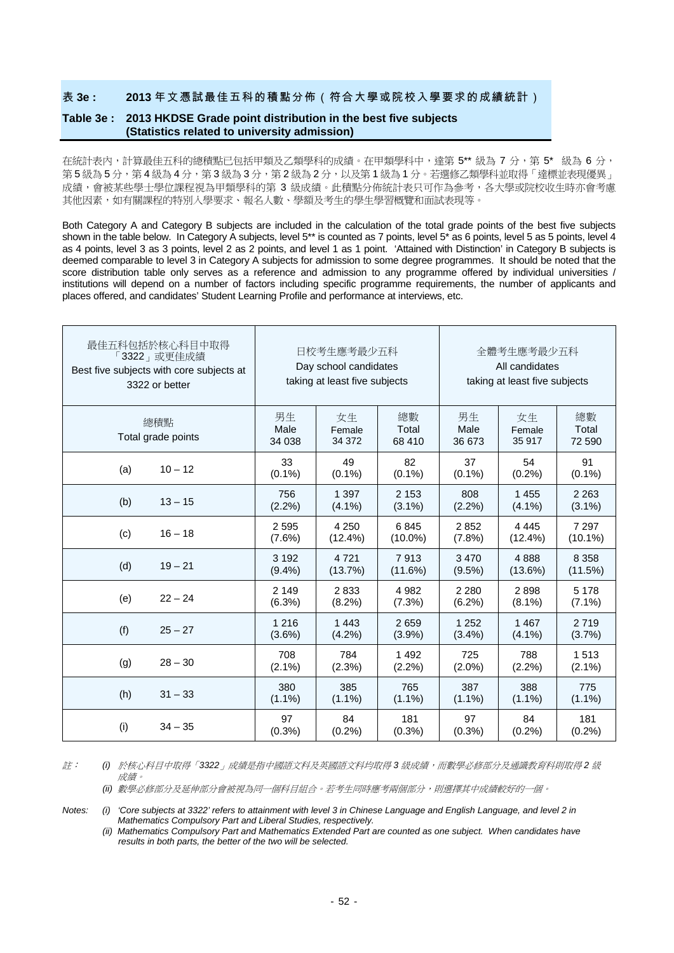表 **3e : 2013** 年文憑試最佳五科的積點分佈(符合大學或院校入學要求的成績統計)

#### **Table 3e : 2013 HKDSE Grade point distribution in the best five subjects (Statistics related to university admission)**

在統計表内,計算最佳五科的總積點已包括甲類及乙類學科的成績。在甲類學科中,達第5\*\* 級為 7 分,第5\* 級為 6 分, 第5級為5分,第4級為4分,第3級為3分,第2級為2分,以及第1級為1分。若選修乙類學科並取得「達標並表現優異」 成績,會被某些學士學位課程視為甲類學科的第 3 級成績。此積點分佈統計表只可作為參考,各大學或院校收生時亦會考慮 其他因素,如有關課程的特別入學要求、報名人數、學額及考生的學生學習概覽和面試表現等。

Both Category A and Category B subjects are included in the calculation of the total grade points of the best five subjects shown in the table below. In Category A subjects, level 5\*\* is counted as 7 points, level 5\* as 6 points, level 5 as 5 points, level 4 as 4 points, level 3 as 3 points, level 2 as 2 points, and level 1 as 1 point. 'Attained with Distinction' in Category B subjects is deemed comparable to level 3 in Category A subjects for admission to some degree programmes. It should be noted that the score distribution table only serves as a reference and admission to any programme offered by individual universities / institutions will depend on a number of factors including specific programme requirements, the number of applicants and places offered, and candidates' Student Learning Profile and performance at interviews, etc.

| 最佳五科包括於核心科目中取得<br>「3322」或更佳成績<br>Best five subjects with core subjects at<br>3322 or better |                      | 日校考生應考最少五科<br>Day school candidates<br>taking at least five subjects |                       | 全體考生應考最少五科<br>All candidates<br>taking at least five subjects |                        |                       |
|---------------------------------------------------------------------------------------------|----------------------|----------------------------------------------------------------------|-----------------------|---------------------------------------------------------------|------------------------|-----------------------|
| 總積點<br>Total grade points                                                                   | 男生<br>Male<br>34 038 | 女生<br>Female<br>34 372                                               | 總數<br>Total<br>68 410 | 男生<br>Male<br>36 673                                          | 女生<br>Female<br>35 917 | 總數<br>Total<br>72 590 |
| $10 - 12$                                                                                   | 33                   | 49                                                                   | 82                    | 37                                                            | 54                     | 91                    |
| (a)                                                                                         | $(0.1\%)$            | $(0.1\%)$                                                            | $(0.1\%)$             | $(0.1\%)$                                                     | $(0.2\%)$              | $(0.1\%)$             |
| (b)                                                                                         | 756                  | 1 3 9 7                                                              | 2 1 5 3               | 808                                                           | 1 4 5 5                | 2 2 6 3               |
| $13 - 15$                                                                                   | $(2.2\%)$            | $(4.1\%)$                                                            | $(3.1\%)$             | (2.2%)                                                        | $(4.1\%)$              | $(3.1\%)$             |
| $16 - 18$                                                                                   | 2595                 | 4 2 5 0                                                              | 6845                  | 2852                                                          | 4 4 4 5                | 7 2 9 7               |
| (c)                                                                                         | (7.6%)               | (12.4%)                                                              | $(10.0\%)$            | $(7.8\%)$                                                     | $(12.4\%)$             | $(10.1\%)$            |
| (d)                                                                                         | 3 1 9 2              | 4 7 2 1                                                              | 7913                  | 3470                                                          | 4888                   | 8 3 5 8               |
| $19 - 21$                                                                                   | $(9.4\%)$            | (13.7%)                                                              | (11.6%)               | $(9.5\%)$                                                     | $(13.6\%)$             | (11.5%)               |
| $22 - 24$                                                                                   | 2 1 4 9              | 2833                                                                 | 4 9 8 2               | 2 2 8 0                                                       | 2898                   | 5 1 7 8               |
| (e)                                                                                         | (6.3%)               | $(8.2\%)$                                                            | (7.3%)                | $(6.2\%)$                                                     | $(8.1\%)$              | $(7.1\%)$             |
| (f)                                                                                         | 1 2 1 6              | 1 4 4 3                                                              | 2659                  | 1 2 5 2                                                       | 1 4 6 7                | 2 7 1 9               |
| $25 - 27$                                                                                   | $(3.6\%)$            | $(4.2\%)$                                                            | $(3.9\%)$             | $(3.4\%)$                                                     | $(4.1\%)$              | (3.7%)                |
| $28 - 30$                                                                                   | 708                  | 784                                                                  | 1492                  | 725                                                           | 788                    | 1513                  |
| (g)                                                                                         | $(2.1\%)$            | (2.3%)                                                               | (2.2%)                | $(2.0\%)$                                                     | (2.2%)                 | $(2.1\%)$             |
| (h)                                                                                         | 380                  | 385                                                                  | 765                   | 387                                                           | 388                    | 775                   |
| $31 - 33$                                                                                   | $(1.1\%)$            | $(1.1\%)$                                                            | $(1.1\%)$             | $(1.1\%)$                                                     | $(1.1\%)$              | $(1.1\%)$             |
| (i)                                                                                         | 97                   | 84                                                                   | 181                   | 97                                                            | 84                     | 181                   |
| $34 - 35$                                                                                   | (0.3% )              | $(0.2\%)$                                                            | $(0.3\%)$             | $(0.3\%)$                                                     | $(0.2\%)$              | $(0.2\%)$             |

註: *(i)* 於核心科目中取得「*3322*」成績是指中國語文科及英國語文科均取得 *3* 級成績,而數學必修部分及通識教育科則取得 *2* 級 成績。

 *(ii)* 數學必修部分及延伸部分會被視為同一個科目組合。若考生同時應考兩個部分,則選擇其中成績較好的一個。

*Notes: (i) 'Core subjects at 3322' refers to attainment with level 3 in Chinese Language and English Language, and level 2 in Mathematics Compulsory Part and Liberal Studies, respectively.* 

 *(ii) Mathematics Compulsory Part and Mathematics Extended Part are counted as one subject. When candidates have results in both parts, the better of the two will be selected.*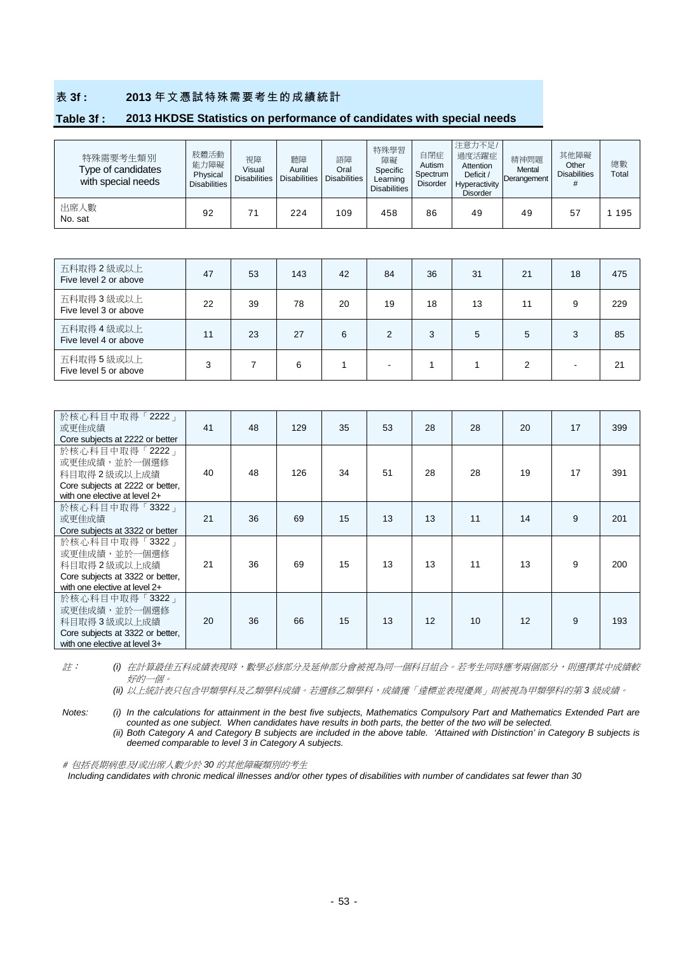#### 表 **3f : 2013** 年文憑試特殊需要考生的成績統計

#### **Table 3f : 2013 HKDSE Statistics on performance of candidates with special needs**

| 特殊需要考生類別<br>Type of candidates<br>with special needs | 肢體活動<br>能力障礙<br>Physical<br><b>Disabilities</b> | 視障<br>Visual<br><b>Disabilities</b> | 聽障<br>Aural<br><b>Disabilities</b> | 語障<br>Oral<br><b>Disabilities</b> | 特殊學習<br>障礙<br>Specific<br>Learning<br><b>Disabilities</b> | 自閉症<br>Autism<br>Spectrum<br><b>Disorder</b> | 注意力不足/<br>過度活躍症<br>Attention<br>Deficit /<br>Hyperactivity<br><b>Disorder</b> | 精神問題<br>Mental<br>Derangement | 其他障礙<br>Other<br><b>Disabilities</b><br># | 總數<br>Total |
|------------------------------------------------------|-------------------------------------------------|-------------------------------------|------------------------------------|-----------------------------------|-----------------------------------------------------------|----------------------------------------------|-------------------------------------------------------------------------------|-------------------------------|-------------------------------------------|-------------|
| 出席人數<br>No. sat                                      | 92                                              | 71                                  | 224                                | 109                               | 458                                                       | 86                                           | 49                                                                            | 49                            | 57                                        | 195         |

| 五科取得2級或以上<br>Five level 2 or above   | 47 | 53 | 143 | 42 | 84            | 36 | 31 | 21 | 18 | 475 |
|--------------------------------------|----|----|-----|----|---------------|----|----|----|----|-----|
| 五科取得3級或以上<br>Five level 3 or above   | 22 | 39 | 78  | 20 | 19            | 18 | 13 | 11 | 9  | 229 |
| 五科取得 4 級或以上<br>Five level 4 or above | 11 | 23 | 27  | 6  | $\mathcal{P}$ | 3  | 5  | 5  | 3  | 85  |
| 五科取得5級或以上<br>Five level 5 or above   | з  |    | 6   |    | -             |    |    |    |    | 21  |

| 於核心科目中取得「2222」<br>或更佳成績<br>Core subjects at 2222 or better | 41 | 48 | 129 | 35 | 53 | 28 | 28 | 20 | 17 | 399 |
|------------------------------------------------------------|----|----|-----|----|----|----|----|----|----|-----|
|                                                            |    |    |     |    |    |    |    |    |    |     |
| 於核心科目中取得「2222」                                             |    |    |     |    |    |    |    |    |    |     |
| 或更佳成績,並於一個選修                                               |    |    |     |    |    |    |    |    |    |     |
| 科目取得2級或以上成績                                                | 40 | 48 | 126 | 34 | 51 | 28 | 28 | 19 | 17 | 391 |
| Core subjects at 2222 or better,                           |    |    |     |    |    |    |    |    |    |     |
| with one elective at level 2+                              |    |    |     |    |    |    |    |    |    |     |
| 於核心科目中取得「3322」                                             |    |    |     |    |    |    |    |    |    |     |
| 或更佳成績                                                      | 21 | 36 | 69  | 15 | 13 | 13 | 11 | 14 | 9  | 201 |
| Core subjects at 3322 or better                            |    |    |     |    |    |    |    |    |    |     |
| 於核心科目中取得「3322」                                             |    |    |     |    |    |    |    |    |    |     |
| 或更佳成績,並於一個選修                                               |    |    |     |    |    |    |    |    |    |     |
| 科目取得2級或以上成績                                                | 21 | 36 | 69  | 15 | 13 | 13 | 11 | 13 | 9  | 200 |
| Core subjects at 3322 or better,                           |    |    |     |    |    |    |    |    |    |     |
| with one elective at level 2+                              |    |    |     |    |    |    |    |    |    |     |
| 於核心科目中取得「3322」                                             |    |    |     |    |    |    |    |    |    |     |
| 或更佳成績,並於一個選修                                               |    |    |     |    |    |    |    |    |    |     |
| 科目取得3級或以上成績                                                | 20 | 36 | 66  | 15 | 13 | 12 | 10 | 12 | 9  | 193 |
| Core subjects at 3322 or better,                           |    |    |     |    |    |    |    |    |    |     |
| with one elective at level 3+                              |    |    |     |    |    |    |    |    |    |     |

註: *(i)* 在計算最佳五科成績表現時,數學必修部分及延伸部分會被視為同一個科目組合。若考生同時應考兩個部分,則選擇其中成績較 好的一個。

 *(ii)* 以上統計表只包含甲類學科及乙類學科成績。若選修乙類學科,成績獲「達標並表現優異」則被視為甲類學科的第 *3* 級成績。

*Notes: (i) In the calculations for attainment in the best five subjects, Mathematics Compulsory Part and Mathematics Extended Part are counted as one subject. When candidates have results in both parts, the better of the two will be selected. (ii) Both Category A and Category B subjects are included in the above table. 'Attained with Distinction' in Category B subjects is* 

*deemed comparable to level 3 in Category A subjects.* 

# 包括長期病患及*/*或出席人數少於 *30* 的其他障礙類別的考生 *Including candidates with chronic medical illnesses and/or other types of disabilities with number of candidates sat fewer than 30*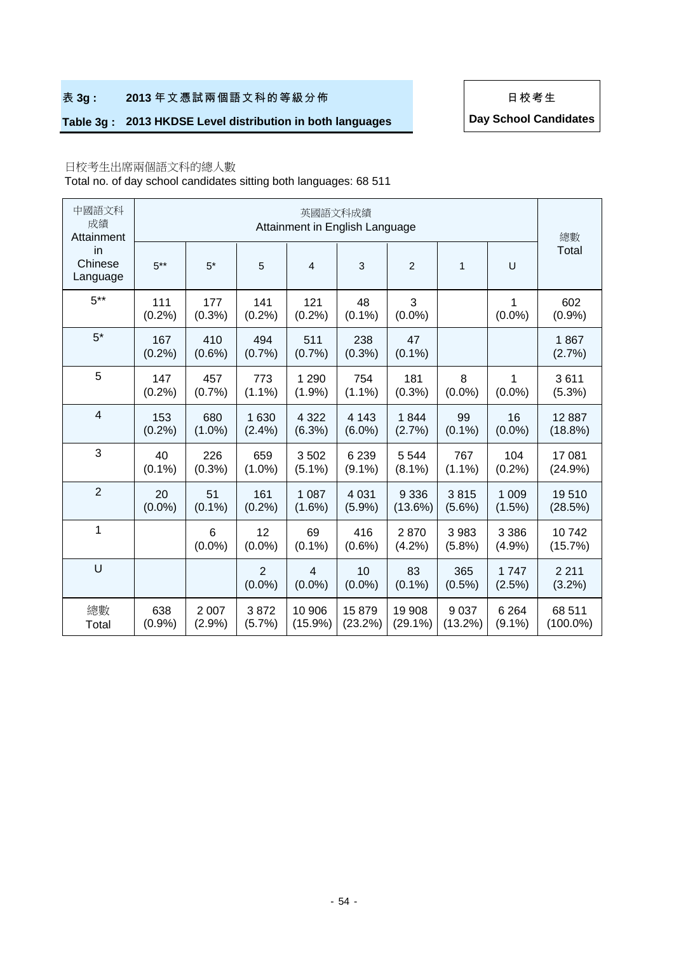# 表 **3g : 2013** 年文憑試兩個語文科的等級分佈 日校考生

# Table 3g : 2013 HKDSE Level distribution in both languages **Day School Candidates**

### 日校考生出席兩個語文科的總人數

Total no. of day school candidates sitting both languages: 68 511

| 中國語文科<br>成績<br>Attainment | 英國語文科成績<br>Attainment in English Language |                   |                             |                      |                      |                      |                       |                      |                       |  |  |
|---------------------------|-------------------------------------------|-------------------|-----------------------------|----------------------|----------------------|----------------------|-----------------------|----------------------|-----------------------|--|--|
| in<br>Chinese<br>Language | $5***$                                    | $5*$              | 5                           | 4                    | 3                    | $\overline{c}$       | 1                     | U                    | 總數<br>Total           |  |  |
| $5***$                    | 111<br>(0.2%)                             | 177<br>(0.3%)     | 141<br>(0.2%)               | 121<br>(0.2%)        | 48<br>$(0.1\%)$      | 3<br>$(0.0\%)$       |                       | 1<br>$(0.0\%)$       | 602<br>(0.9%          |  |  |
| $5*$                      | 167<br>(0.2%)                             | 410<br>$(0.6\%)$  | 494<br>(0.7%                | 511<br>(0.7%         | 238<br>(0.3% )       | 47<br>$(0.1\%)$      |                       |                      | 1867<br>(2.7%)        |  |  |
| 5                         | 147<br>(0.2%)                             | 457<br>(0.7%      | 773<br>$(1.1\%)$            | 1 2 9 0<br>(1.9%)    | 754<br>$(1.1\%)$     | 181<br>(0.3%)        | 8<br>$(0.0\%)$        | 1<br>$(0.0\%)$       | 3611<br>(5.3%)        |  |  |
| $\overline{\mathbf{4}}$   | 153<br>(0.2%)                             | 680<br>$(1.0\%)$  | 1 6 3 0<br>(2.4%)           | 4 3 2 2<br>(6.3%)    | 4 1 4 3<br>$(6.0\%)$ | 1844<br>(2.7%)       | 99<br>$(0.1\%)$       | 16<br>$(0.0\%)$      | 12 8 87<br>(18.8%)    |  |  |
| 3                         | 40<br>$(0.1\%)$                           | 226<br>(0.3%)     | 659<br>$(1.0\%)$            | 3502<br>$(5.1\%)$    | 6 2 3 9<br>$(9.1\%)$ | 5 5 4 4<br>$(8.1\%)$ | 767<br>$(1.1\%)$      | 104<br>(0.2%)        | 17 081<br>(24.9%)     |  |  |
| $\overline{2}$            | 20<br>$(0.0\%)$                           | 51<br>$(0.1\%)$   | 161<br>$(0.2\%)$            | 1 0 8 7<br>$(1.6\%)$ | 4 0 31<br>(5.9%)     | 9 3 3 6<br>(13.6%)   | 3815<br>$(5.6\%)$     | 1 0 0 9<br>(1.5%)    | 19510<br>(28.5%)      |  |  |
| $\mathbf 1$               |                                           | 6<br>$(0.0\%)$    | 12<br>$(0.0\%)$             | 69<br>$(0.1\%)$      | 416<br>$(0.6\%)$     | 2870<br>(4.2%)       | 3983<br>(5.8%)        | 3 3 8 6<br>(4.9%)    | 10742<br>(15.7%)      |  |  |
| $\cup$                    |                                           |                   | $\overline{2}$<br>$(0.0\%)$ | 4<br>$(0.0\%)$       | 10<br>$(0.0\%)$      | 83<br>$(0.1\%)$      | 365<br>$(0.5\%)$      | 1747<br>(2.5%)       | 2 2 1 1<br>$(3.2\%)$  |  |  |
| 總數<br>Total               | 638<br>(0.9%                              | 2 0 0 7<br>(2.9%) | 3872<br>(5.7%)              | 10 906<br>$(15.9\%)$ | 15879<br>(23.2%)     | 19 908<br>$(29.1\%)$ | 9 0 3 7<br>$(13.2\%)$ | 6 2 6 4<br>$(9.1\%)$ | 68 511<br>$(100.0\%)$ |  |  |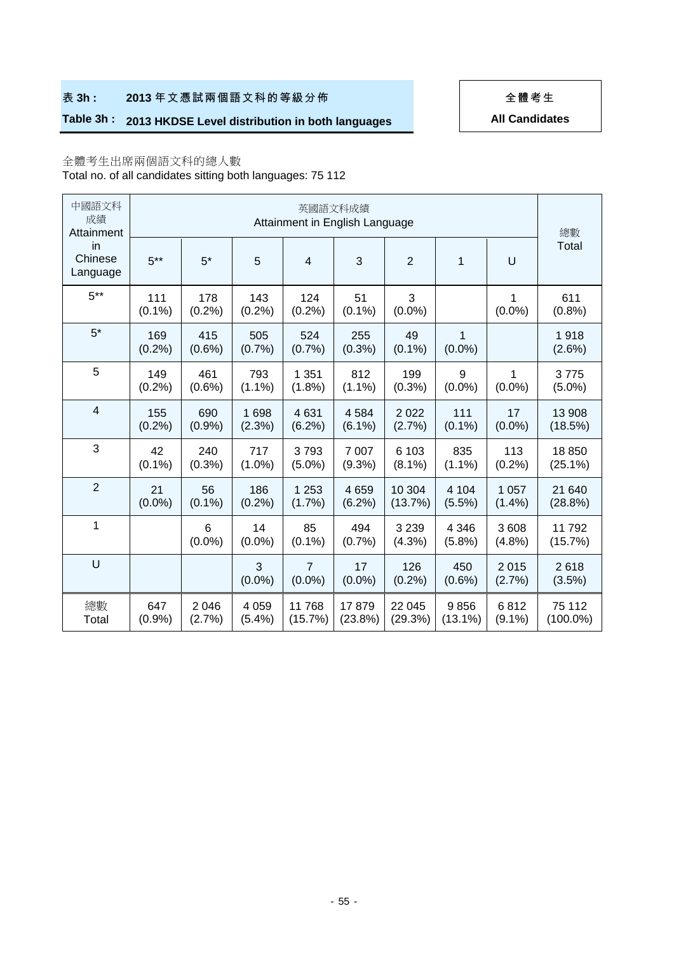# 表 3h : 2013 年文憑試兩個語文科的等級分佈 | 全體考生

# Table 3h : 2013 HKDSE Level distribution in both languages **All Candidates**

# 全體考生出席兩個語文科的總人數

Total no. of all candidates sitting both languages: 75 112

| 中國語文科<br>成績<br>Attainment | 英國語文科成績<br>Attainment in English Language |                   |                   |                             |                      |                      |                    |                   |                       |  |  |
|---------------------------|-------------------------------------------|-------------------|-------------------|-----------------------------|----------------------|----------------------|--------------------|-------------------|-----------------------|--|--|
| in<br>Chinese<br>Language | $5***$                                    | $5*$              | 5                 | $\overline{\mathbf{4}}$     | 3                    | $\overline{2}$       | 1                  | U                 | 總數<br>Total           |  |  |
| $5***$                    | 111<br>$(0.1\%)$                          | 178<br>(0.2%      | 143<br>(0.2%)     | 124<br>(0.2%)               | 51<br>$(0.1\%)$      | 3<br>$(0.0\%)$       |                    | 1<br>$(0.0\%)$    | 611<br>(0.8%)         |  |  |
| $5*$                      | 169<br>(0.2%)                             | 415<br>$(0.6\%)$  | 505<br>(0.7%      | 524<br>(0.7%                | 255<br>$(0.3\%)$     | 49<br>$(0.1\%)$      | 1<br>$(0.0\%)$     |                   | 1918<br>$(2.6\%)$     |  |  |
| 5                         | 149<br>(0.2%)                             | 461<br>$(0.6\%)$  | 793<br>$(1.1\%)$  | 1 351<br>$(1.8\%)$          | 812<br>$(1.1\%)$     | 199<br>(0.3%)        | 9<br>$(0.0\%)$     | 1<br>$(0.0\%)$    | 3775<br>$(5.0\%)$     |  |  |
| $\overline{4}$            | 155<br>(0.2%)                             | 690<br>(0.9%      | 1 6 9 8<br>(2.3%) | 4 6 3 1<br>(6.2%)           | 4584<br>$(6.1\%)$    | 2022<br>(2.7%)       | 111<br>$(0.1\%)$   | 17<br>$(0.0\%)$   | 13 908<br>(18.5%)     |  |  |
| 3                         | 42<br>$(0.1\%)$                           | 240<br>$(0.3\%)$  | 717<br>$(1.0\%)$  | 3793<br>$(5.0\%)$           | 7 0 0 7<br>$(9.3\%)$ | 6 1 0 3<br>$(8.1\%)$ | 835<br>$(1.1\%)$   | 113<br>(0.2%)     | 18 850<br>(25.1%)     |  |  |
| $\overline{2}$            | 21<br>$(0.0\%)$                           | 56<br>$(0.1\%)$   | 186<br>(0.2%)     | 1 2 5 3<br>(1.7%)           | 4 6 5 9<br>$(6.2\%)$ | 10 304<br>(13.7%)    | 4 104<br>$(5.5\%)$ | 1 0 5 7<br>(1.4%) | 21 640<br>(28.8%)     |  |  |
| 1                         |                                           | 6<br>$(0.0\%)$    | 14<br>$(0.0\%)$   | 85<br>$(0.1\%)$             | 494<br>(0.7%         | 3 2 3 9<br>$(4.3\%)$ | 4 3 4 6<br>(5.8%)  | 3608<br>$(4.8\%)$ | 11792<br>(15.7%)      |  |  |
| U                         |                                           |                   | 3<br>$(0.0\%)$    | $\overline{7}$<br>$(0.0\%)$ | 17<br>$(0.0\%)$      | 126<br>(0.2%)        | 450<br>$(0.6\%)$   | 2015<br>(2.7%)    | 2618<br>(3.5%)        |  |  |
| 總數<br>Total               | 647<br>(0.9%                              | 2 0 4 6<br>(2.7%) | 4 0 5 9<br>(5.4%) | 11768<br>(15.7%)            | 17879<br>(23.8%)     | 22 045<br>(29.3%)    | 9856<br>$(13.1\%)$ | 6812<br>$(9.1\%)$ | 75 112<br>$(100.0\%)$ |  |  |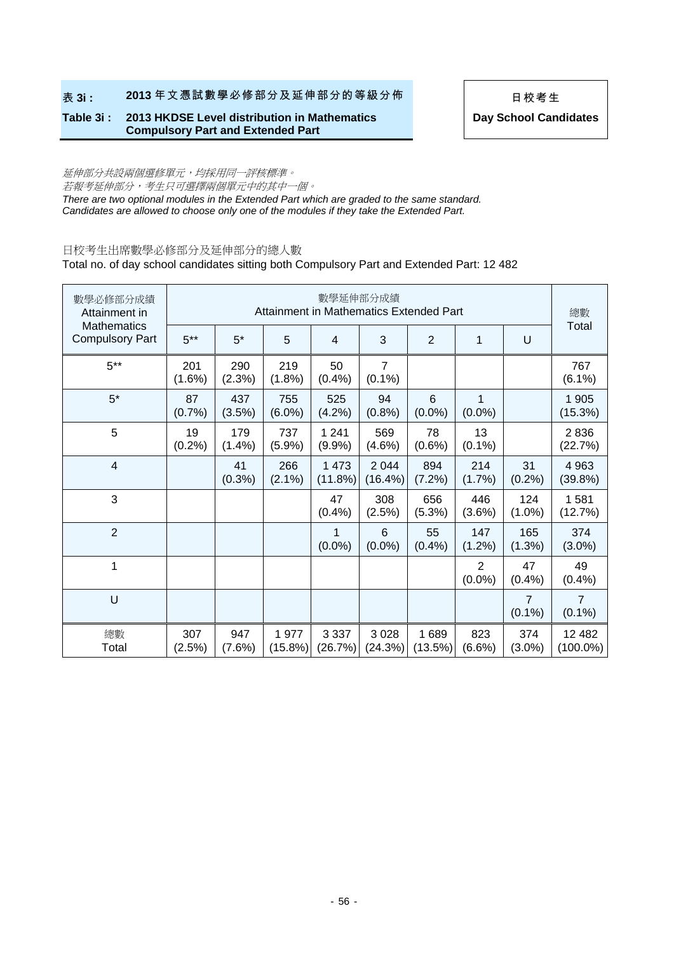# 表 **3i : 2013** 年文憑試數學必修部分及延伸部分的等級分佈 日校考生

#### **Table 3i : 2013 HKDSE Level distribution in Mathematics Compulsory Part and Extended Part**

#### 延伸部分共設兩個選修單元,均採用同一評核標準。 若報考延伸部分,考生只可選擇兩個單元中的其中一個。

*There are two optional modules in the Extended Part which are graded to the same standard. Candidates are allowed to choose only one of the modules if they take the Extended Part.*

#### 日校考生出席數學必修部分及延伸部分的總人數

Total no. of day school candidates sitting both Compulsory Part and Extended Part: 12 482

| 數學必修部分成績<br>Attainment in                    | 數學延伸部分成績<br>Attainment in Mathematics Extended Part |                  |                  |                      |                             |                  |                             |                             |                             |  |
|----------------------------------------------|-----------------------------------------------------|------------------|------------------|----------------------|-----------------------------|------------------|-----------------------------|-----------------------------|-----------------------------|--|
| <b>Mathematics</b><br><b>Compulsory Part</b> | $5***$                                              | $5*$             | 5                | 4                    | 3                           | $\overline{2}$   | 1                           | U                           | Total                       |  |
| $5***$                                       | 201<br>$(1.6\%)$                                    | 290<br>(2.3%)    | 219<br>$(1.8\%)$ | 50<br>(0.4% )        | $\overline{7}$<br>$(0.1\%)$ |                  |                             |                             | 767<br>$(6.1\%)$            |  |
| $5*$                                         | 87<br>(0.7%                                         | 437<br>(3.5%)    | 755<br>$(6.0\%)$ | 525<br>$(4.2\%)$     | 94<br>(0.8%                 | 6<br>$(0.0\%)$   | 1<br>$(0.0\%)$              |                             | 1 9 0 5<br>(15.3%)          |  |
| 5                                            | 19<br>(0.2%)                                        | 179<br>(1.4%)    | 737<br>(5.9%)    | 1 2 4 1<br>$(9.9\%)$ | 569<br>$(4.6\%)$            | 78<br>$(0.6\%)$  | 13<br>$(0.1\%)$             |                             | 2836<br>(22.7%)             |  |
| $\overline{4}$                               |                                                     | 41<br>$(0.3\%)$  | 266<br>$(2.1\%)$ | 1 473<br>(11.8%)     | 2 0 4 4<br>(16.4%)          | 894<br>(7.2%)    | 214<br>$(1.7\%)$            | 31<br>$(0.2\%)$             | 4 9 6 3<br>(39.8%)          |  |
| 3                                            |                                                     |                  |                  | 47<br>(0.4% )        | 308<br>(2.5%)               | 656<br>$(5.3\%)$ | 446<br>$(3.6\%)$            | 124<br>$(1.0\%)$            | 1581<br>(12.7%)             |  |
| $\overline{2}$                               |                                                     |                  |                  | 1<br>$(0.0\%)$       | 6<br>$(0.0\%)$              | 55<br>(0.4% )    | 147<br>$(1.2\%)$            | 165<br>(1.3%)               | 374<br>$(3.0\%)$            |  |
| 1                                            |                                                     |                  |                  |                      |                             |                  | $\overline{2}$<br>$(0.0\%)$ | 47<br>$(0.4\%)$             | 49<br>(0.4%                 |  |
| U                                            |                                                     |                  |                  |                      |                             |                  |                             | $\overline{7}$<br>$(0.1\%)$ | $\overline{7}$<br>$(0.1\%)$ |  |
| 總數<br>Total                                  | 307<br>(2.5%)                                       | 947<br>$(7.6\%)$ | 1977<br>(15.8%)  | 3 3 3 7<br>(26.7%)   | 3 0 28<br>(24.3%)           | 1689<br>(13.5%)  | 823<br>$(6.6\%)$            | 374<br>$(3.0\%)$            | 12 482<br>$(100.0\%)$       |  |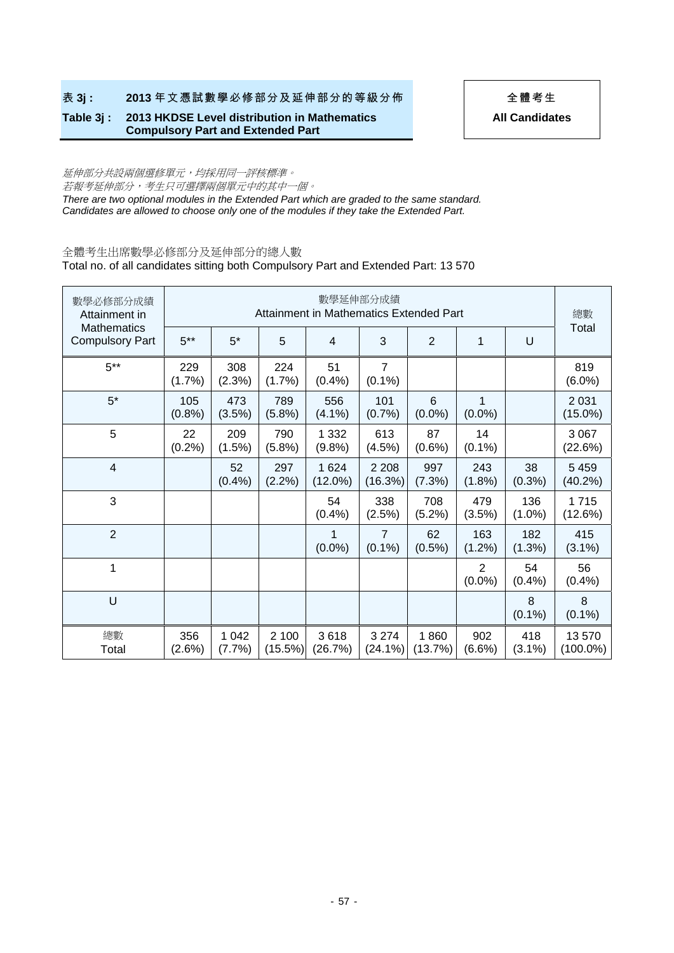# 表 **3j : 2013** 年文憑試數學必修部分及延伸部分的等級分佈 全體考生

#### **Table 3j : 2013 HKDSE Level distribution in Mathematics Compulsory Part and Extended Part**

#### 延伸部分共設兩個選修單元,均採用同一評核標準。 若報考延伸部分,考生只可選擇兩個單元中的其中一個。

*There are two optional modules in the Extended Part which are graded to the same standard. Candidates are allowed to choose only one of the modules if they take the Extended Part.*

### 全體考生出席數學必修部分及延伸部分的總人數

Total no. of all candidates sitting both Compulsory Part and Extended Part: 13 570

| 數學必修部分成績<br>Attainment in                    | 數學延伸部分成績<br>Attainment in Mathematics Extended Part |                   |                  |                       |                             |                 |                             |                  |                       |  |  |
|----------------------------------------------|-----------------------------------------------------|-------------------|------------------|-----------------------|-----------------------------|-----------------|-----------------------------|------------------|-----------------------|--|--|
| <b>Mathematics</b><br><b>Compulsory Part</b> | $5***$                                              | $5*$              | 5                | 4                     | 3                           | $\overline{2}$  | 1                           | U                | Total                 |  |  |
| $5***$                                       | 229<br>$(1.7\%)$                                    | 308<br>(2.3%)     | 224<br>(1.7%)    | 51<br>(0.4% )         | $\overline{7}$<br>$(0.1\%)$ |                 |                             |                  | 819<br>$(6.0\%)$      |  |  |
| $5*$                                         | 105<br>(0.8% )                                      | 473<br>(3.5%)     | 789<br>$(5.8\%)$ | 556<br>$(4.1\%)$      | 101<br>(0.7%                | 6<br>$(0.0\%)$  | 1<br>$(0.0\%)$              |                  | 2 0 3 1<br>$(15.0\%)$ |  |  |
| 5                                            | 22<br>(0.2%)                                        | 209<br>(1.5%)     | 790<br>(5.8%)    | 1 3 3 2<br>(9.8%)     | 613<br>(4.5%)               | 87<br>$(0.6\%)$ | 14<br>$(0.1\%)$             |                  | 3 0 6 7<br>(22.6%)    |  |  |
| $\overline{4}$                               |                                                     | 52<br>(0.4% )     | 297<br>$(2.2\%)$ | 1 6 2 4<br>$(12.0\%)$ | 2 2 0 8<br>(16.3%)          | 997<br>(7.3%)   | 243<br>$(1.8\%)$            | 38<br>$(0.3\%)$  | 5 4 5 9<br>(40.2%)    |  |  |
| 3                                            |                                                     |                   |                  | 54<br>(0.4% )         | 338<br>(2.5%)               | 708<br>(5.2%)   | 479<br>(3.5%)               | 136<br>$(1.0\%)$ | 1715<br>(12.6%)       |  |  |
| $\overline{2}$                               |                                                     |                   |                  | $(0.0\%)$             | $\overline{7}$<br>$(0.1\%)$ | 62<br>$(0.5\%)$ | 163<br>$(1.2\%)$            | 182<br>(1.3%)    | 415<br>$(3.1\%)$      |  |  |
| 1                                            |                                                     |                   |                  |                       |                             |                 | $\overline{2}$<br>$(0.0\%)$ | 54<br>(0.4% )    | 56<br>$(0.4\%)$       |  |  |
| U                                            |                                                     |                   |                  |                       |                             |                 |                             | 8<br>$(0.1\%)$   | 8<br>$(0.1\%)$        |  |  |
| 總數<br>Total                                  | 356<br>(2.6%)                                       | 1 0 4 2<br>(7.7%) | 2 100<br>(15.5%) | 3618<br>(26.7%)       | 3 2 7 4<br>$(24.1\%)$       | 1860<br>(13.7%) | 902<br>$(6.6\%)$            | 418<br>$(3.1\%)$ | 13 570<br>$(100.0\%)$ |  |  |